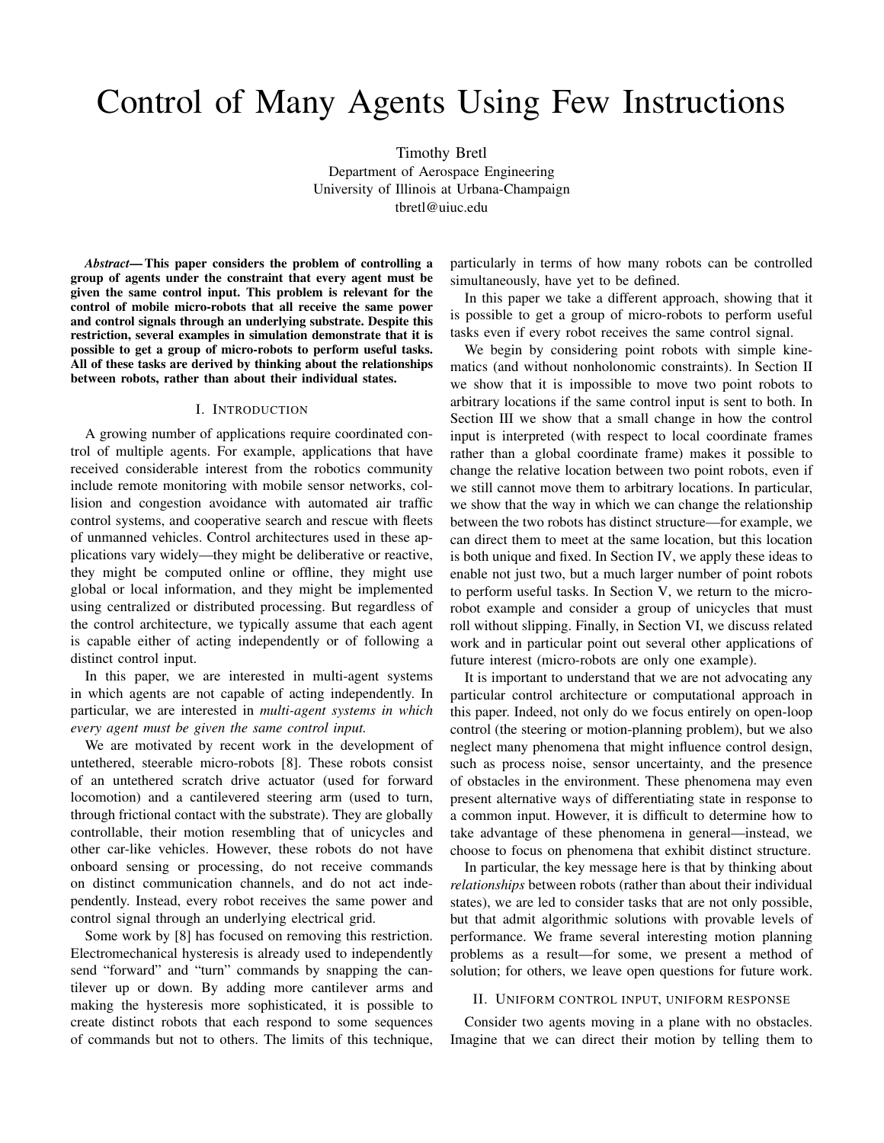# Control of Many Agents Using Few Instructions

Timothy Bretl Department of Aerospace Engineering University of Illinois at Urbana-Champaign tbretl@uiuc.edu

*Abstract*— This paper considers the problem of controlling a group of agents under the constraint that every agent must be given the same control input. This problem is relevant for the control of mobile micro-robots that all receive the same power and control signals through an underlying substrate. Despite this restriction, several examples in simulation demonstrate that it is possible to get a group of micro-robots to perform useful tasks. All of these tasks are derived by thinking about the relationships between robots, rather than about their individual states.

## I. INTRODUCTION

A growing number of applications require coordinated control of multiple agents. For example, applications that have received considerable interest from the robotics community include remote monitoring with mobile sensor networks, collision and congestion avoidance with automated air traffic control systems, and cooperative search and rescue with fleets of unmanned vehicles. Control architectures used in these applications vary widely—they might be deliberative or reactive, they might be computed online or offline, they might use global or local information, and they might be implemented using centralized or distributed processing. But regardless of the control architecture, we typically assume that each agent is capable either of acting independently or of following a distinct control input.

In this paper, we are interested in multi-agent systems in which agents are not capable of acting independently. In particular, we are interested in *multi-agent systems in which every agent must be given the same control input.*

We are motivated by recent work in the development of untethered, steerable micro-robots [8]. These robots consist of an untethered scratch drive actuator (used for forward locomotion) and a cantilevered steering arm (used to turn, through frictional contact with the substrate). They are globally controllable, their motion resembling that of unicycles and other car-like vehicles. However, these robots do not have onboard sensing or processing, do not receive commands on distinct communication channels, and do not act independently. Instead, every robot receives the same power and control signal through an underlying electrical grid.

Some work by [8] has focused on removing this restriction. Electromechanical hysteresis is already used to independently send "forward" and "turn" commands by snapping the cantilever up or down. By adding more cantilever arms and making the hysteresis more sophisticated, it is possible to create distinct robots that each respond to some sequences of commands but not to others. The limits of this technique, particularly in terms of how many robots can be controlled simultaneously, have yet to be defined.

In this paper we take a different approach, showing that it is possible to get a group of micro-robots to perform useful tasks even if every robot receives the same control signal.

We begin by considering point robots with simple kinematics (and without nonholonomic constraints). In Section II we show that it is impossible to move two point robots to arbitrary locations if the same control input is sent to both. In Section III we show that a small change in how the control input is interpreted (with respect to local coordinate frames rather than a global coordinate frame) makes it possible to change the relative location between two point robots, even if we still cannot move them to arbitrary locations. In particular, we show that the way in which we can change the relationship between the two robots has distinct structure—for example, we can direct them to meet at the same location, but this location is both unique and fixed. In Section IV, we apply these ideas to enable not just two, but a much larger number of point robots to perform useful tasks. In Section V, we return to the microrobot example and consider a group of unicycles that must roll without slipping. Finally, in Section VI, we discuss related work and in particular point out several other applications of future interest (micro-robots are only one example).

It is important to understand that we are not advocating any particular control architecture or computational approach in this paper. Indeed, not only do we focus entirely on open-loop control (the steering or motion-planning problem), but we also neglect many phenomena that might influence control design, such as process noise, sensor uncertainty, and the presence of obstacles in the environment. These phenomena may even present alternative ways of differentiating state in response to a common input. However, it is difficult to determine how to take advantage of these phenomena in general—instead, we choose to focus on phenomena that exhibit distinct structure.

In particular, the key message here is that by thinking about *relationships* between robots (rather than about their individual states), we are led to consider tasks that are not only possible, but that admit algorithmic solutions with provable levels of performance. We frame several interesting motion planning problems as a result—for some, we present a method of solution; for others, we leave open questions for future work.

## II. UNIFORM CONTROL INPUT, UNIFORM RESPONSE

Consider two agents moving in a plane with no obstacles. Imagine that we can direct their motion by telling them to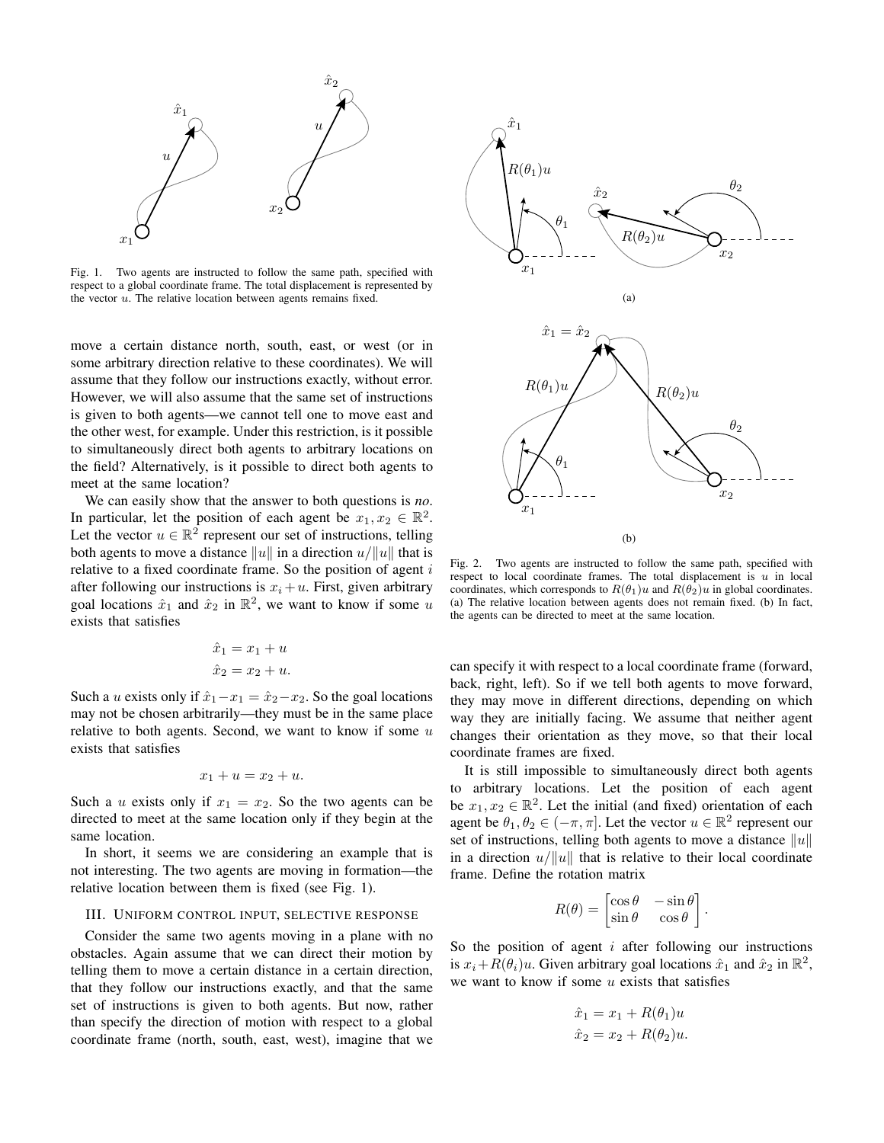

Fig. 1. Two agents are instructed to follow the same path, specified with respect to a global coordinate frame. The total displacement is represented by the vector  $u$ . The relative location between agents remains fixed.

move a certain distance north, south, east, or west (or in some arbitrary direction relative to these coordinates). We will assume that they follow our instructions exactly, without error. However, we will also assume that the same set of instructions is given to both agents—we cannot tell one to move east and the other west, for example. Under this restriction, is it possible to simultaneously direct both agents to arbitrary locations on the field? Alternatively, is it possible to direct both agents to meet at the same location?

We can easily show that the answer to both questions is *no*. In particular, let the position of each agent be  $x_1, x_2 \in \mathbb{R}^2$ . Let the vector  $u \in \mathbb{R}^2$  represent our set of instructions, telling both agents to move a distance ||u|| in a direction  $u/||u||$  that is relative to a fixed coordinate frame. So the position of agent  $i$ after following our instructions is  $x_i + u$ . First, given arbitrary goal locations  $\hat{x}_1$  and  $\hat{x}_2$  in  $\mathbb{R}^2$ , we want to know if some u exists that satisfies

$$
\hat{x}_1 = x_1 + u
$$

$$
\hat{x}_2 = x_2 + u.
$$

Such a u exists only if  $\hat{x}_1 - x_1 = \hat{x}_2 - x_2$ . So the goal locations may not be chosen arbitrarily—they must be in the same place relative to both agents. Second, we want to know if some  $u$ exists that satisfies

$$
x_1 + u = x_2 + u.
$$

Such a u exists only if  $x_1 = x_2$ . So the two agents can be directed to meet at the same location only if they begin at the same location.

In short, it seems we are considering an example that is not interesting. The two agents are moving in formation—the relative location between them is fixed (see Fig. 1).

#### III. UNIFORM CONTROL INPUT, SELECTIVE RESPONSE

Consider the same two agents moving in a plane with no obstacles. Again assume that we can direct their motion by telling them to move a certain distance in a certain direction, that they follow our instructions exactly, and that the same set of instructions is given to both agents. But now, rather than specify the direction of motion with respect to a global coordinate frame (north, south, east, west), imagine that we



Fig. 2. Two agents are instructed to follow the same path, specified with respect to local coordinate frames. The total displacement is  $u$  in local coordinates, which corresponds to  $R(\theta_1)u$  and  $R(\theta_2)u$  in global coordinates. (a) The relative location between agents does not remain fixed. (b) In fact, the agents can be directed to meet at the same location.

can specify it with respect to a local coordinate frame (forward, back, right, left). So if we tell both agents to move forward, they may move in different directions, depending on which way they are initially facing. We assume that neither agent changes their orientation as they move, so that their local coordinate frames are fixed.

It is still impossible to simultaneously direct both agents to arbitrary locations. Let the position of each agent be  $x_1, x_2 \in \mathbb{R}^2$ . Let the initial (and fixed) orientation of each agent be  $\theta_1, \theta_2 \in (-\pi, \pi]$ . Let the vector  $u \in \mathbb{R}^2$  represent our set of instructions, telling both agents to move a distance  $||u||$ in a direction  $u/||u||$  that is relative to their local coordinate frame. Define the rotation matrix

$$
R(\theta) = \begin{bmatrix} \cos \theta & -\sin \theta \\ \sin \theta & \cos \theta \end{bmatrix}.
$$

So the position of agent  $i$  after following our instructions is  $x_i + R(\theta_i)u$ . Given arbitrary goal locations  $\hat{x}_1$  and  $\hat{x}_2$  in  $\mathbb{R}^2$ , we want to know if some  $u$  exists that satisfies

$$
\hat{x}_1 = x_1 + R(\theta_1)u
$$
  

$$
\hat{x}_2 = x_2 + R(\theta_2)u.
$$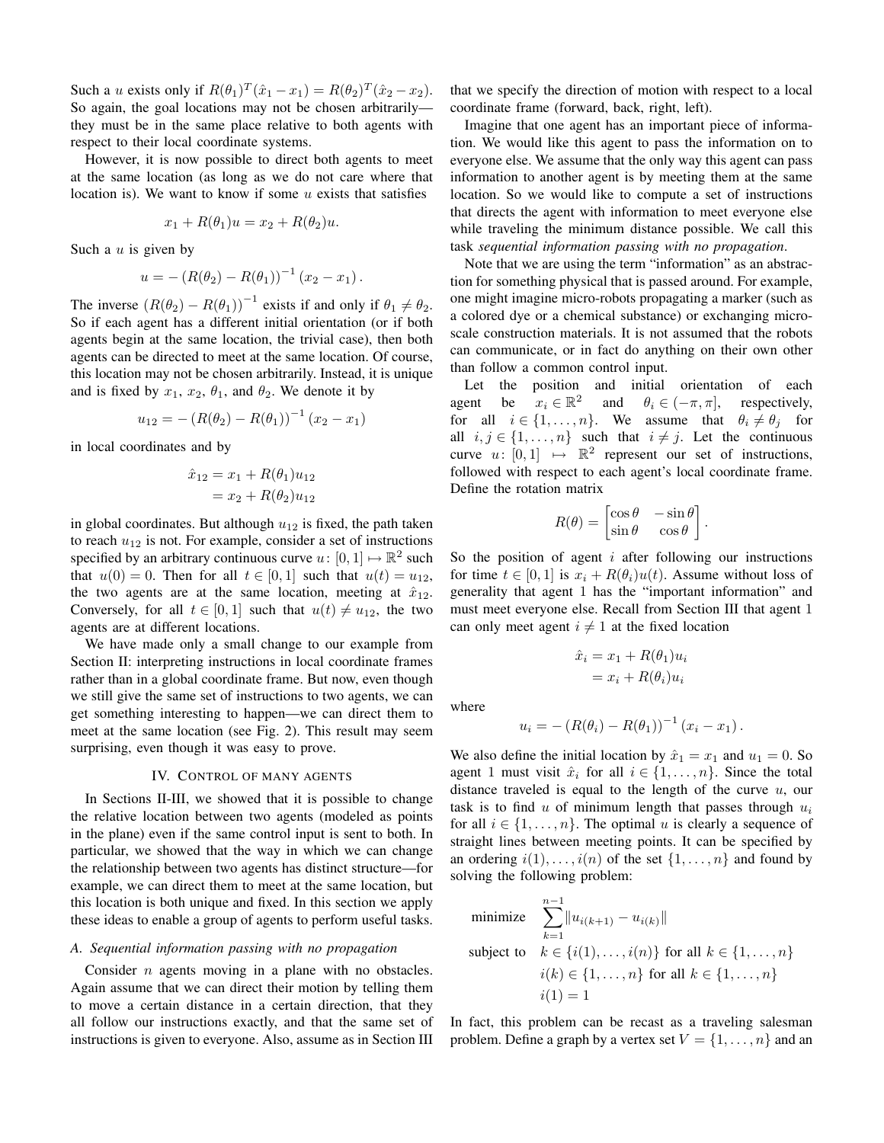Such a *u* exists only if  $R(\theta_1)^T(\hat{x}_1 - x_1) = R(\theta_2)^T(\hat{x}_2 - x_2)$ . So again, the goal locations may not be chosen arbitrarily they must be in the same place relative to both agents with respect to their local coordinate systems.

However, it is now possible to direct both agents to meet at the same location (as long as we do not care where that location is). We want to know if some  $u$  exists that satisfies

$$
x_1 + R(\theta_1)u = x_2 + R(\theta_2)u.
$$

Such a  $u$  is given by

$$
u = -(R(\theta_2) - R(\theta_1))^{-1} (x_2 - x_1).
$$

The inverse  $(R(\theta_2) - R(\theta_1))^{-1}$  exists if and only if  $\theta_1 \neq \theta_2$ . So if each agent has a different initial orientation (or if both agents begin at the same location, the trivial case), then both agents can be directed to meet at the same location. Of course, this location may not be chosen arbitrarily. Instead, it is unique and is fixed by  $x_1, x_2, \theta_1$ , and  $\theta_2$ . We denote it by

$$
u_{12} = - (R(\theta_2) - R(\theta_1))^{-1} (x_2 - x_1)
$$

in local coordinates and by

$$
\hat{x}_{12} = x_1 + R(\theta_1)u_{12} \n= x_2 + R(\theta_2)u_{12}
$$

in global coordinates. But although  $u_{12}$  is fixed, the path taken to reach  $u_{12}$  is not. For example, consider a set of instructions specified by an arbitrary continuous curve  $u: [0, 1] \mapsto \mathbb{R}^2$  such that  $u(0) = 0$ . Then for all  $t \in [0,1]$  such that  $u(t) = u_{12}$ , the two agents are at the same location, meeting at  $\hat{x}_{12}$ . Conversely, for all  $t \in [0, 1]$  such that  $u(t) \neq u_{12}$ , the two agents are at different locations.

We have made only a small change to our example from Section II: interpreting instructions in local coordinate frames rather than in a global coordinate frame. But now, even though we still give the same set of instructions to two agents, we can get something interesting to happen—we can direct them to meet at the same location (see Fig. 2). This result may seem surprising, even though it was easy to prove.

## IV. CONTROL OF MANY AGENTS

In Sections II-III, we showed that it is possible to change the relative location between two agents (modeled as points in the plane) even if the same control input is sent to both. In particular, we showed that the way in which we can change the relationship between two agents has distinct structure—for example, we can direct them to meet at the same location, but this location is both unique and fixed. In this section we apply these ideas to enable a group of agents to perform useful tasks.

## *A. Sequential information passing with no propagation*

Consider *n* agents moving in a plane with no obstacles. Again assume that we can direct their motion by telling them to move a certain distance in a certain direction, that they all follow our instructions exactly, and that the same set of instructions is given to everyone. Also, assume as in Section III

that we specify the direction of motion with respect to a local coordinate frame (forward, back, right, left).

Imagine that one agent has an important piece of information. We would like this agent to pass the information on to everyone else. We assume that the only way this agent can pass information to another agent is by meeting them at the same location. So we would like to compute a set of instructions that directs the agent with information to meet everyone else while traveling the minimum distance possible. We call this task *sequential information passing with no propagation*.

Note that we are using the term "information" as an abstraction for something physical that is passed around. For example, one might imagine micro-robots propagating a marker (such as a colored dye or a chemical substance) or exchanging microscale construction materials. It is not assumed that the robots can communicate, or in fact do anything on their own other than follow a common control input.

Let the position and initial orientation of each agent be  $x_i \in \mathbb{R}^2$ and  $\theta_i \in (-\pi, \pi]$ , respectively, for all  $i \in \{1, ..., n\}$ . We assume that  $\theta_i \neq \theta_j$  for all  $i, j \in \{1, ..., n\}$  such that  $i \neq j$ . Let the continuous curve  $u: [0, 1] \mapsto \mathbb{R}^2$  represent our set of instructions, followed with respect to each agent's local coordinate frame. Define the rotation matrix

$$
R(\theta) = \begin{bmatrix} \cos \theta & -\sin \theta \\ \sin \theta & \cos \theta \end{bmatrix}.
$$

So the position of agent  $i$  after following our instructions for time  $t \in [0, 1]$  is  $x_i + R(\theta_i)u(t)$ . Assume without loss of generality that agent 1 has the "important information" and must meet everyone else. Recall from Section III that agent 1 can only meet agent  $i \neq 1$  at the fixed location

$$
\hat{x}_i = x_1 + R(\theta_1)u_i
$$

$$
= x_i + R(\theta_i)u_i
$$

where

$$
u_i = - (R(\theta_i) - R(\theta_1))^{-1} (x_i - x_1).
$$

We also define the initial location by  $\hat{x}_1 = x_1$  and  $u_1 = 0$ . So agent 1 must visit  $\hat{x}_i$  for all  $i \in \{1, \ldots, n\}$ . Since the total distance traveled is equal to the length of the curve  $u$ , our task is to find  $u$  of minimum length that passes through  $u_i$ for all  $i \in \{1, \ldots, n\}$ . The optimal u is clearly a sequence of straight lines between meeting points. It can be specified by an ordering  $i(1), \ldots, i(n)$  of the set  $\{1, \ldots, n\}$  and found by solving the following problem:

minimize 
$$
\sum_{k=1}^{n-1} \|u_{i(k+1)} - u_{i(k)}\|
$$
  
subject to  $k \in \{i(1),...,i(n)\}$  for all  $k \in \{1,...,n\}$   
 $i(k) \in \{1,...,n\}$  for all  $k \in \{1,...,n\}$   
 $i(1) = 1$ 

In fact, this problem can be recast as a traveling salesman problem. Define a graph by a vertex set  $V = \{1, \ldots, n\}$  and an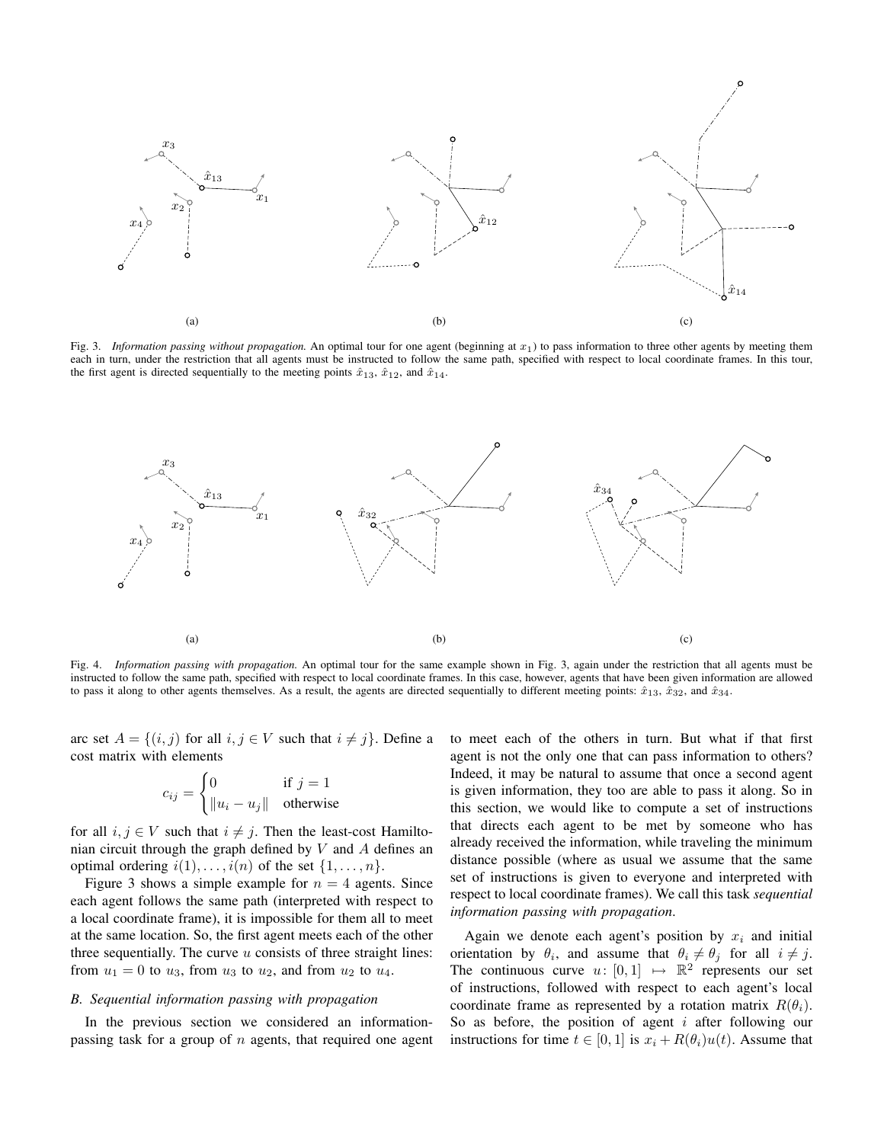

Fig. 3. *Information passing without propagation*. An optimal tour for one agent (beginning at  $x_1$ ) to pass information to three other agents by meeting them each in turn, under the restriction that all agents must be instructed to follow the same path, specified with respect to local coordinate frames. In this tour, the first agent is directed sequentially to the meeting points  $\hat{x}_{13}$ ,  $\hat{x}_{12}$ , and  $\hat{x}_{14}$ .



Fig. 4. *Information passing with propagation.* An optimal tour for the same example shown in Fig. 3, again under the restriction that all agents must be instructed to follow the same path, specified with respect to local coordinate frames. In this case, however, agents that have been given information are allowed to pass it along to other agents themselves. As a result, the agents are directed sequentially to different meeting points:  $\hat{x}_{13}$ ,  $\hat{x}_{32}$ , and  $\hat{x}_{34}$ .

arc set  $A = \{(i, j) \text{ for all } i, j \in V \text{ such that } i \neq j\}.$  Define a cost matrix with elements

$$
c_{ij} = \begin{cases} 0 & \text{if } j = 1\\ \|u_i - u_j\| & \text{otherwise} \end{cases}
$$

for all  $i, j \in V$  such that  $i \neq j$ . Then the least-cost Hamiltonian circuit through the graph defined by  $V$  and  $A$  defines an optimal ordering  $i(1), \ldots, i(n)$  of the set  $\{1, \ldots, n\}$ .

Figure 3 shows a simple example for  $n = 4$  agents. Since each agent follows the same path (interpreted with respect to a local coordinate frame), it is impossible for them all to meet at the same location. So, the first agent meets each of the other three sequentially. The curve  $u$  consists of three straight lines: from  $u_1 = 0$  to  $u_3$ , from  $u_3$  to  $u_2$ , and from  $u_2$  to  $u_4$ .

# *B. Sequential information passing with propagation*

In the previous section we considered an informationpassing task for a group of  $n$  agents, that required one agent to meet each of the others in turn. But what if that first agent is not the only one that can pass information to others? Indeed, it may be natural to assume that once a second agent is given information, they too are able to pass it along. So in this section, we would like to compute a set of instructions that directs each agent to be met by someone who has already received the information, while traveling the minimum distance possible (where as usual we assume that the same set of instructions is given to everyone and interpreted with respect to local coordinate frames). We call this task *sequential information passing with propagation*.

Again we denote each agent's position by  $x_i$  and initial orientation by  $\theta_i$ , and assume that  $\theta_i \neq \theta_j$  for all  $i \neq j$ . The continuous curve  $u: [0,1] \mapsto \mathbb{R}^2$  represents our set of instructions, followed with respect to each agent's local coordinate frame as represented by a rotation matrix  $R(\theta_i)$ . So as before, the position of agent  $i$  after following our instructions for time  $t \in [0, 1]$  is  $x_i + R(\theta_i)u(t)$ . Assume that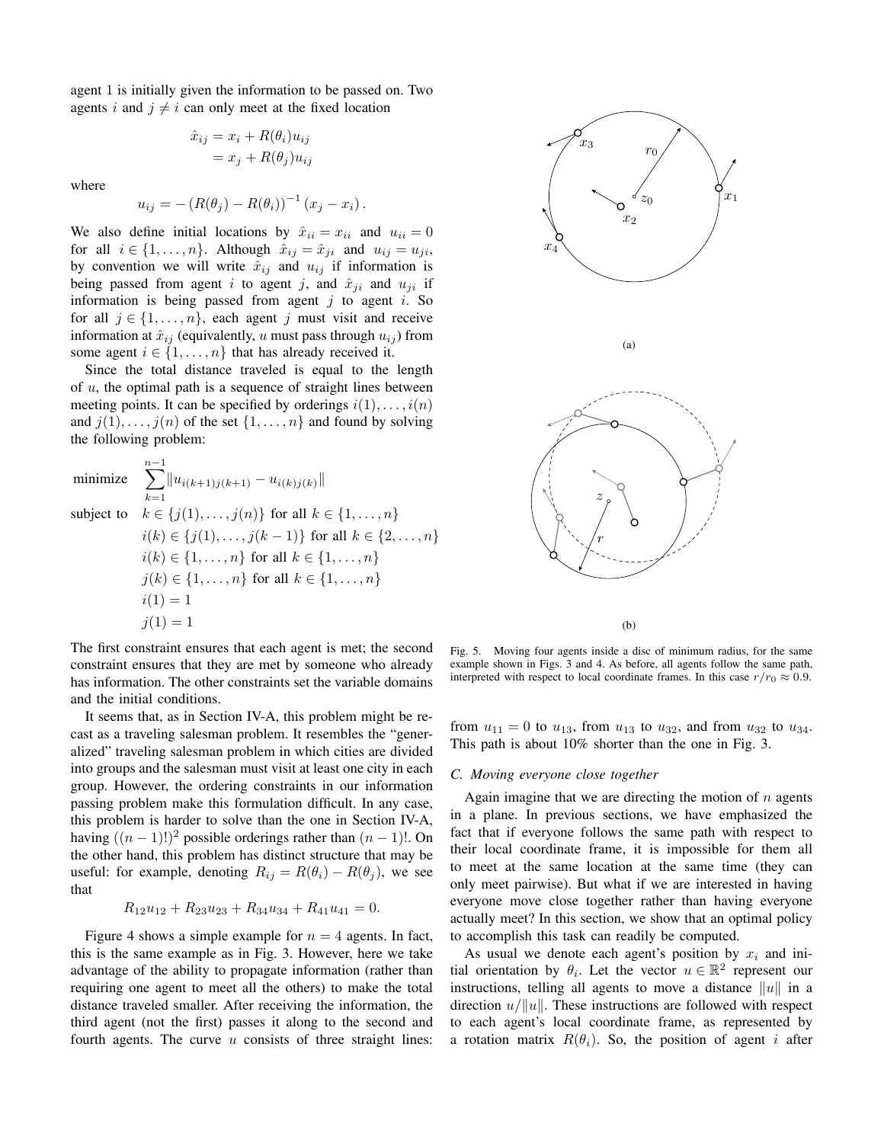agent 1 is initially given the information to be passed on. Two agents i and  $j \neq i$  can only meet at the fixed location

$$
\hat{x}_{ij} = x_i + R(\theta_i)u_{ij}
$$

$$
= x_j + R(\theta_j)u_{ij}
$$

where

$$
u_{ij} = - (R(\theta_j) - R(\theta_i))^{-1} (x_j - x_i).
$$

We also define initial locations by  $\hat{x}_{ii} = x_{ii}$  and  $u_{ii} = 0$ for all  $i \in \{1, \ldots, n\}$ . Although  $\hat{x}_{ij} = \hat{x}_{ji}$  and  $u_{ij} = u_{ji}$ , by convention we will write  $\hat{x}_{ij}$  and  $u_{ij}$  if information is being passed from agent i to agent j, and  $\hat{x}_{ji}$  and  $u_{ji}$  if information is being passed from agent  $j$  to agent  $i$ . So for all  $j \in \{1, ..., n\}$ , each agent j must visit and receive information at  $\hat{x}_{ij}$  (equivalently, u must pass through  $u_{ij}$ ) from some agent  $i \in \{1, \ldots, n\}$  that has already received it.

Since the total distance traveled is equal to the length of  $u$ , the optimal path is a sequence of straight lines between meeting points. It can be specified by orderings  $i(1), \ldots, i(n)$ and  $j(1), \ldots, j(n)$  of the set  $\{1, \ldots, n\}$  and found by solving the following problem:

minimize  $\sum^{n-1}$  $k=1$  $||u_{i(k+1)j(k+1)} - u_{i(k)j(k)}||$ subject to  $k \in \{j(1), \ldots, j(n)\}$  for all  $k \in \{1, \ldots, n\}$  $i(k) \in \{j(1), \ldots, j(k-1)\}\$ for all  $k \in \{2, \ldots, n\}$  $i(k) \in \{1, ..., n\}$  for all  $k \in \{1, ..., n\}$  $j(k) \in \{1, ..., n\}$  for all  $k \in \{1, ..., n\}$  $i(1) = 1$  $j(1) = 1$ 

The first constraint ensures that each agent is met; the second constraint ensures that they are met by someone who already has information. The other constraints set the variable domains and the initial conditions.

It seems that, as in Section IV-A, this problem might be recast as a traveling salesman problem. It resembles the "generalized" traveling salesman problem in which cities are divided into groups and the salesman must visit at least one city in each group. However, the ordering constraints in our information passing problem make this formulation difficult. In any case, this problem is harder to solve than the one in Section IV-A, having  $((n-1)!)^2$  possible orderings rather than  $(n-1)!$ . On the other hand, this problem has distinct structure that may be useful: for example, denoting  $R_{ij} = R(\theta_i) - R(\theta_j)$ , we see that

$$
R_{12}u_{12} + R_{23}u_{23} + R_{34}u_{34} + R_{41}u_{41} = 0.
$$

Figure 4 shows a simple example for  $n = 4$  agents. In fact, this is the same example as in Fig. 3. However, here we take advantage of the ability to propagate information (rather than requiring one agent to meet all the others) to make the total distance traveled smaller. After receiving the information, the third agent (not the first) passes it along to the second and fourth agents. The curve  $u$  consists of three straight lines:



Fig. 5. Moving four agents inside a disc of minimum radius, for the same example shown in Figs. 3 and 4. As before, all agents follow the same path, interpreted with respect to local coordinate frames. In this case  $r/r_0 \approx 0.9$ .

from  $u_{11} = 0$  to  $u_{13}$ , from  $u_{13}$  to  $u_{32}$ , and from  $u_{32}$  to  $u_{34}$ . This path is about 10% shorter than the one in Fig. 3.

# *C. Moving everyone close together*

Again imagine that we are directing the motion of  $n$  agents in a plane. In previous sections, we have emphasized the fact that if everyone follows the same path with respect to their local coordinate frame, it is impossible for them all to meet at the same location at the same time (they can only meet pairwise). But what if we are interested in having everyone move close together rather than having everyone actually meet? In this section, we show that an optimal policy to accomplish this task can readily be computed.

As usual we denote each agent's position by  $x_i$  and initial orientation by  $\theta_i$ . Let the vector  $u \in \mathbb{R}^2$  represent our instructions, telling all agents to move a distance  $||u||$  in a direction  $u/||u||$ . These instructions are followed with respect to each agent's local coordinate frame, as represented by a rotation matrix  $R(\theta_i)$ . So, the position of agent i after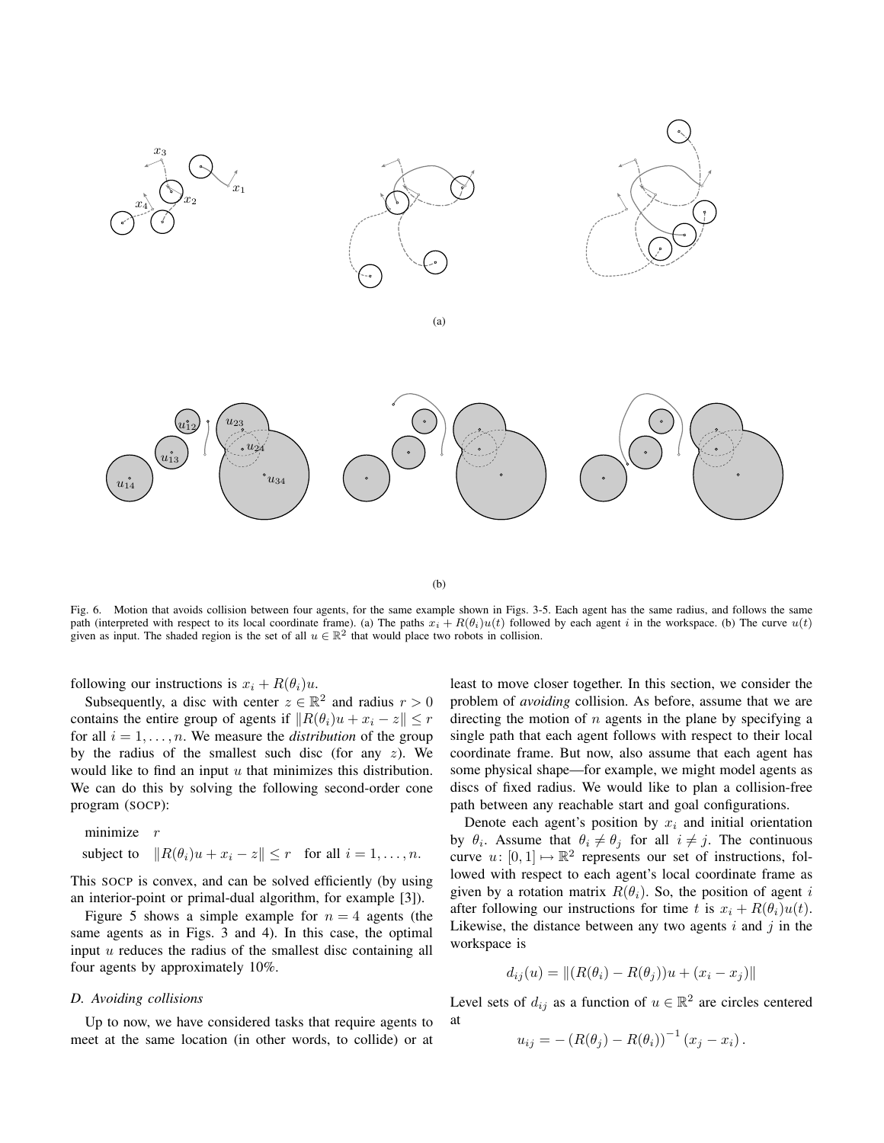

(b)

Fig. 6. Motion that avoids collision between four agents, for the same example shown in Figs. 3-5. Each agent has the same radius, and follows the same path (interpreted with respect to its local coordinate frame). (a) The paths  $x_i + R(\theta_i)u(t)$  followed by each agent i in the workspace. (b) The curve  $u(t)$ given as input. The shaded region is the set of all  $u \in \mathbb{R}^2$  that would place two robots in collision.

following our instructions is  $x_i + R(\theta_i)u$ .

Subsequently, a disc with center  $z \in \mathbb{R}^2$  and radius  $r > 0$ contains the entire group of agents if  $||R(\theta_i)u + x_i - z|| \leq r$ for all  $i = 1, \ldots, n$ . We measure the *distribution* of the group by the radius of the smallest such disc (for any  $z$ ). We would like to find an input  $u$  that minimizes this distribution. We can do this by solving the following second-order cone program (SOCP):

minimize 
$$
r
$$
  
subject to  $||R(\theta_i)u + x_i - z|| \leq r$  for all  $i = 1, ..., n$ .

This SOCP is convex, and can be solved efficiently (by using an interior-point or primal-dual algorithm, for example [3]).

Figure 5 shows a simple example for  $n = 4$  agents (the same agents as in Figs. 3 and 4). In this case, the optimal input  $u$  reduces the radius of the smallest disc containing all four agents by approximately 10%.

# *D. Avoiding collisions*

Up to now, we have considered tasks that require agents to meet at the same location (in other words, to collide) or at least to move closer together. In this section, we consider the problem of *avoiding* collision. As before, assume that we are directing the motion of  $n$  agents in the plane by specifying a single path that each agent follows with respect to their local coordinate frame. But now, also assume that each agent has some physical shape—for example, we might model agents as discs of fixed radius. We would like to plan a collision-free path between any reachable start and goal configurations.

Denote each agent's position by  $x_i$  and initial orientation by  $\theta_i$ . Assume that  $\theta_i \neq \theta_j$  for all  $i \neq j$ . The continuous curve  $u: [0,1] \mapsto \mathbb{R}^2$  represents our set of instructions, followed with respect to each agent's local coordinate frame as given by a rotation matrix  $R(\theta_i)$ . So, the position of agent i after following our instructions for time t is  $x_i + R(\theta_i)u(t)$ . Likewise, the distance between any two agents  $i$  and  $j$  in the workspace is

$$
d_{ij}(u) = ||(R(\theta_i) - R(\theta_j))u + (x_i - x_j)||
$$

Level sets of  $d_{ij}$  as a function of  $u \in \mathbb{R}^2$  are circles centered at

$$
u_{ij} = -(R(\theta_j) - R(\theta_i))^{-1} (x_j - x_i).
$$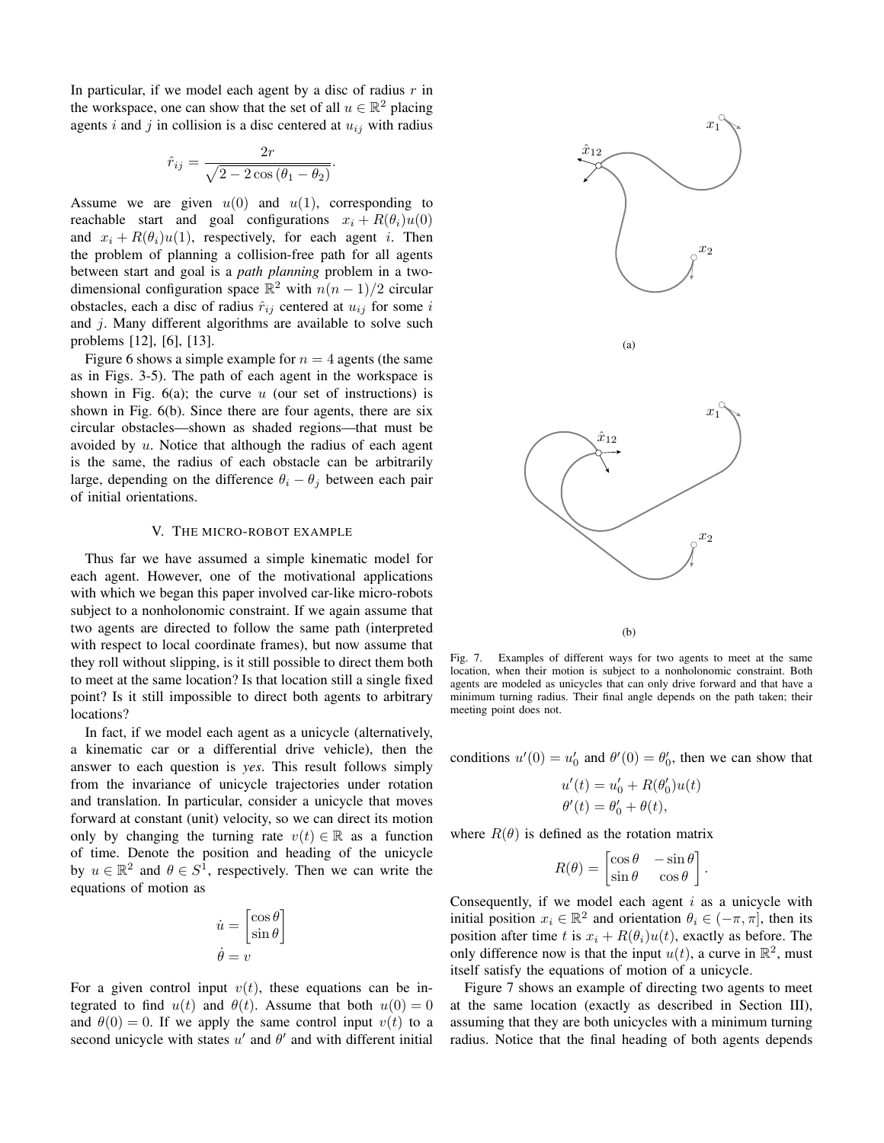In particular, if we model each agent by a disc of radius  $r$  in the workspace, one can show that the set of all  $u \in \mathbb{R}^2$  placing agents i and j in collision is a disc centered at  $u_{ij}$  with radius

$$
\hat{r}_{ij} = \frac{2r}{\sqrt{2 - 2\cos\left(\theta_1 - \theta_2\right)}}
$$

.

Assume we are given  $u(0)$  and  $u(1)$ , corresponding to reachable start and goal configurations  $x_i + R(\theta_i)u(0)$ and  $x_i + R(\theta_i)u(1)$ , respectively, for each agent i. Then the problem of planning a collision-free path for all agents between start and goal is a *path planning* problem in a twodimensional configuration space  $\mathbb{R}^2$  with  $n(n-1)/2$  circular obstacles, each a disc of radius  $\hat{r}_{ij}$  centered at  $u_{ij}$  for some i and  $j$ . Many different algorithms are available to solve such problems [12], [6], [13].

Figure 6 shows a simple example for  $n = 4$  agents (the same as in Figs. 3-5). The path of each agent in the workspace is shown in Fig.  $6(a)$ ; the curve u (our set of instructions) is shown in Fig. 6(b). Since there are four agents, there are six circular obstacles—shown as shaded regions—that must be avoided by  $u$ . Notice that although the radius of each agent is the same, the radius of each obstacle can be arbitrarily large, depending on the difference  $\theta_i - \theta_j$  between each pair of initial orientations.

# V. THE MICRO-ROBOT EXAMPLE

Thus far we have assumed a simple kinematic model for each agent. However, one of the motivational applications with which we began this paper involved car-like micro-robots subject to a nonholonomic constraint. If we again assume that two agents are directed to follow the same path (interpreted with respect to local coordinate frames), but now assume that they roll without slipping, is it still possible to direct them both to meet at the same location? Is that location still a single fixed point? Is it still impossible to direct both agents to arbitrary locations?

In fact, if we model each agent as a unicycle (alternatively, a kinematic car or a differential drive vehicle), then the answer to each question is *yes*. This result follows simply from the invariance of unicycle trajectories under rotation and translation. In particular, consider a unicycle that moves forward at constant (unit) velocity, so we can direct its motion only by changing the turning rate  $v(t) \in \mathbb{R}$  as a function of time. Denote the position and heading of the unicycle by  $u \in \mathbb{R}^2$  and  $\theta \in S^1$ , respectively. Then we can write the equations of motion as

$$
\dot{u} = \begin{bmatrix} \cos \theta \\ \sin \theta \end{bmatrix}
$$

$$
\dot{\theta} = v
$$

For a given control input  $v(t)$ , these equations can be integrated to find  $u(t)$  and  $\theta(t)$ . Assume that both  $u(0) = 0$ and  $\theta(0) = 0$ . If we apply the same control input  $v(t)$  to a second unicycle with states  $u'$  and  $\theta'$  and with different initial



Fig. 7. Examples of different ways for two agents to meet at the same location, when their motion is subject to a nonholonomic constraint. Both agents are modeled as unicycles that can only drive forward and that have a minimum turning radius. Their final angle depends on the path taken; their meeting point does not.

conditions  $u'(0) = u'_0$  and  $\theta'(0) = \theta'_0$ , then we can show that

$$
u'(t) = u'_0 + R(\theta'_0)u(t)
$$
  

$$
\theta'(t) = \theta'_0 + \theta(t),
$$

where  $R(\theta)$  is defined as the rotation matrix

$$
R(\theta) = \begin{bmatrix} \cos \theta & -\sin \theta \\ \sin \theta & \cos \theta \end{bmatrix}.
$$

Consequently, if we model each agent  $i$  as a unicycle with initial position  $x_i \in \mathbb{R}^2$  and orientation  $\theta_i \in (-\pi, \pi]$ , then its position after time t is  $x_i + R(\theta_i)u(t)$ , exactly as before. The only difference now is that the input  $u(t)$ , a curve in  $\mathbb{R}^2$ , must itself satisfy the equations of motion of a unicycle.

Figure 7 shows an example of directing two agents to meet at the same location (exactly as described in Section III), assuming that they are both unicycles with a minimum turning radius. Notice that the final heading of both agents depends